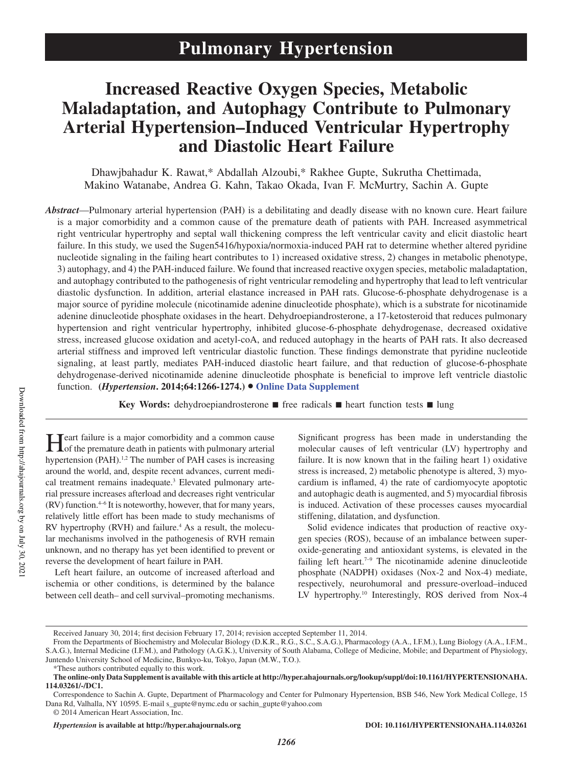# **Increased Reactive Oxygen Species, Metabolic Maladaptation, and Autophagy Contribute to Pulmonary Arterial Hypertension–Induced Ventricular Hypertrophy and Diastolic Heart Failure**

Dhawjbahadur K. Rawat,\* Abdallah Alzoubi,\* Rakhee Gupte, Sukrutha Chettimada, Makino Watanabe, Andrea G. Kahn, Takao Okada, Ivan F. McMurtry, Sachin A. Gupte

*Abstract*—Pulmonary arterial hypertension (PAH) is a debilitating and deadly disease with no known cure. Heart failure is a major comorbidity and a common cause of the premature death of patients with PAH. Increased asymmetrical right ventricular hypertrophy and septal wall thickening compress the left ventricular cavity and elicit diastolic heart failure. In this study, we used the Sugen5416/hypoxia/normoxia-induced PAH rat to determine whether altered pyridine nucleotide signaling in the failing heart contributes to 1) increased oxidative stress, 2) changes in metabolic phenotype, 3) autophagy, and 4) the PAH-induced failure. We found that increased reactive oxygen species, metabolic maladaptation, and autophagy contributed to the pathogenesis of right ventricular remodeling and hypertrophy that lead to left ventricular diastolic dysfunction. In addition, arterial elastance increased in PAH rats. Glucose-6-phosphate dehydrogenase is a major source of pyridine molecule (nicotinamide adenine dinucleotide phosphate), which is a substrate for nicotinamide adenine dinucleotide phosphate oxidases in the heart. Dehydroepiandrosterone, a 17-ketosteroid that reduces pulmonary hypertension and right ventricular hypertrophy, inhibited glucose-6-phosphate dehydrogenase, decreased oxidative stress, increased glucose oxidation and acetyl-coA, and reduced autophagy in the hearts of PAH rats. It also decreased arterial stiffness and improved left ventricular diastolic function. These findings demonstrate that pyridine nucleotide signaling, at least partly, mediates PAH-induced diastolic heart failure, and that reduction of glucose-6-phosphate dehydrogenase-derived nicotinamide adenine dinucleotide phosphate is beneficial to improve left ventricle diastolic function. **(***Hypertension***. 2014;64:1266-1274.)**• **Online Data Supplement**

**Key Words:** dehydroepiandrosterone ■ free radicals ■ heart function tests ■ lung

**H** eart failure is a major comorbidity and a common cause<br>of the premature death in patients with pulmonary arterial of the premature death in patients with pulmonary arterial hypertension (PAH).<sup>1,2</sup> The number of PAH cases is increasing around the world, and, despite recent advances, current medical treatment remains inadequate.<sup>3</sup> Elevated pulmonary arterial pressure increases afterload and decreases right ventricular (RV) function.4–6 It is noteworthy, however, that for many years, relatively little effort has been made to study mechanisms of RV hypertrophy (RVH) and failure.<sup>4</sup> As a result, the molecular mechanisms involved in the pathogenesis of RVH remain unknown, and no therapy has yet been identified to prevent or reverse the development of heart failure in PAH.

Left heart failure, an outcome of increased afterload and ischemia or other conditions, is determined by the balance between cell death– and cell survival–promoting mechanisms. Significant progress has been made in understanding the molecular causes of left ventricular (LV) hypertrophy and failure. It is now known that in the failing heart 1) oxidative stress is increased, 2) metabolic phenotype is altered, 3) myocardium is inflamed, 4) the rate of cardiomyocyte apoptotic and autophagic death is augmented, and 5) myocardial fibrosis is induced. Activation of these processes causes myocardial stiffening, dilatation, and dysfunction.

Solid evidence indicates that production of reactive oxygen species (ROS), because of an imbalance between superoxide-generating and antioxidant systems, is elevated in the failing left heart.<sup> $7-9$ </sup> The nicotinamide adenine dinucleotide phosphate (NADPH) oxidases (Nox-2 and Nox-4) mediate, respectively, neurohumoral and pressure-overload–induced LV hypertrophy.<sup>10</sup> Interestingly, ROS derived from Nox-4

Received January 30, 2014; first decision February 17, 2014; revision accepted September 11, 2014.

From the Departments of Biochemistry and Molecular Biology (D.K.R., R.G., S.C., S.A.G.), Pharmacology (A.A., I.F.M.), Lung Biology (A.A., I.F.M., S.A.G.), Internal Medicine (I.F.M.), and Pathology (A.G.K.), University of South Alabama, College of Medicine, Mobile; and Department of Physiology, Juntendo University School of Medicine, Bunkyo-ku, Tokyo, Japan (M.W., T.O.).

<sup>\*</sup>These authors contributed equally to this work.

**The online-only Data Supplement is available with this article at http://hyper.ahajournals.org/lookup/suppl/doi:10.1161/HYPERTENSIONAHA. 114.03261/-/DC1.**

Correspondence to Sachin A. Gupte, Department of Pharmacology and Center for Pulmonary Hypertension, BSB 546, New York Medical College, 15 Dana Rd, Valhalla, NY 10595. E-mail s\_gupte@nymc.edu or sachin\_gupte@yahoo.com

<sup>© 2014</sup> American Heart Association, Inc.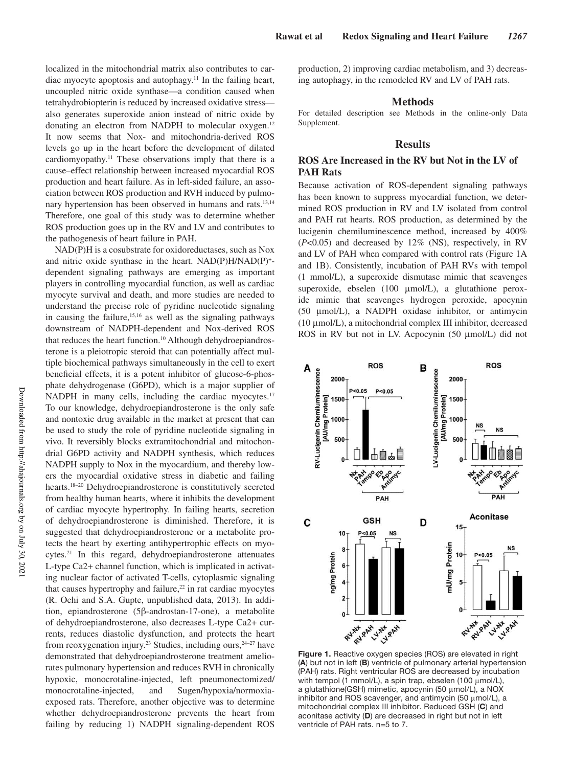localized in the mitochondrial matrix also contributes to cardiac myocyte apoptosis and autophagy.<sup>11</sup> In the failing heart, uncoupled nitric oxide synthase—a condition caused when tetrahydrobiopterin is reduced by increased oxidative stress also generates superoxide anion instead of nitric oxide by donating an electron from NADPH to molecular oxygen.<sup>12</sup> It now seems that Nox- and mitochondria-derived ROS levels go up in the heart before the development of dilated cardiomyopathy.<sup>11</sup> These observations imply that there is a cause–effect relationship between increased myocardial ROS production and heart failure. As in left-sided failure, an association between ROS production and RVH induced by pulmonary hypertension has been observed in humans and rats.<sup>13,14</sup> Therefore, one goal of this study was to determine whether ROS production goes up in the RV and LV and contributes to the pathogenesis of heart failure in PAH.

NAD(P)H is a cosubstrate for oxidoreductases, such as Nox and nitric oxide synthase in the heart. NAD(P)H/NAD(P)<sup>+</sup> dependent signaling pathways are emerging as important players in controlling myocardial function, as well as cardiac myocyte survival and death, and more studies are needed to understand the precise role of pyridine nucleotide signaling in causing the failure,  $15,16$  as well as the signaling pathways downstream of NADPH-dependent and Nox-derived ROS that reduces the heart function.<sup>10</sup> Although dehydroepiandrosterone is a pleiotropic steroid that can potentially affect multiple biochemical pathways simultaneously in the cell to exert beneficial effects, it is a potent inhibitor of glucose-6-phosphate dehydrogenase (G6PD), which is a major supplier of NADPH in many cells, including the cardiac myocytes.<sup>17</sup> To our knowledge, dehydroepiandrosterone is the only safe and nontoxic drug available in the market at present that can be used to study the role of pyridine nucleotide signaling in vivo. It reversibly blocks extramitochondrial and mitochondrial G6PD activity and NADPH synthesis, which reduces NADPH supply to Nox in the myocardium, and thereby lowers the myocardial oxidative stress in diabetic and failing hearts.18–20 Dehydroepiandrosterone is constitutively secreted from healthy human hearts, where it inhibits the development of cardiac myocyte hypertrophy. In failing hearts, secretion of dehydroepiandrosterone is diminished. Therefore, it is suggested that dehydroepiandrosterone or a metabolite protects the heart by exerting antihypertrophic effects on myocytes.<sup>21</sup> In this regard, dehydroepiandrosterone attenuates L-type Ca2+ channel function, which is implicated in activating nuclear factor of activated T-cells, cytoplasmic signaling that causes hypertrophy and failure, $22$  in rat cardiac myocytes (R. Ochi and S.A. Gupte, unpublished data, 2013). In addition, epiandrosterone (5β-androstan-17-one), a metabolite of dehydroepiandrosterone, also decreases L-type Ca2+ currents, reduces diastolic dysfunction, and protects the heart from reoxygenation injury.<sup>23</sup> Studies, including ours,  $24-27$  have demonstrated that dehydroepiandrosterone treatment ameliorates pulmonary hypertension and reduces RVH in chronically hypoxic, monocrotaline-injected, left pneumonectomized/ monocrotaline-injected, and Sugen/hypoxia/normoxiaexposed rats. Therefore, another objective was to determine whether dehydroepiandrosterone prevents the heart from failing by reducing 1) NADPH signaling-dependent ROS production, 2) improving cardiac metabolism, and 3) decreasing autophagy, in the remodeled RV and LV of PAH rats.

## **Methods**

For detailed description see Methods in the online-only Data Supplement.

# **Results**

## **ROS Are Increased in the RV but Not in the LV of PAH Rats**

Because activation of ROS-dependent signaling pathways has been known to suppress myocardial function, we determined ROS production in RV and LV isolated from control and PAH rat hearts. ROS production, as determined by the lucigenin chemiluminescence method, increased by 400% (*P*<0.05) and decreased by 12% (NS), respectively, in RV and LV of PAH when compared with control rats (Figure 1A and 1B). Consistently, incubation of PAH RVs with tempol (1 mmol/L), a superoxide dismutase mimic that scavenges superoxide, ebselen (100 μmol/L), a glutathione peroxide mimic that scavenges hydrogen peroxide, apocynin (50 μmol/L), a NADPH oxidase inhibitor, or antimycin (10 μmol/L), a mitochondrial complex III inhibitor, decreased ROS in RV but not in LV. Acpocynin (50 μmol/L) did not



**Figure 1.** Reactive oxygen species (ROS) are elevated in right (**A**) but not in left (**B**) ventricle of pulmonary arterial hypertension (PAH) rats. Right ventricular ROS are decreased by incubation with tempol (1 mmol/L), a spin trap, ebselen (100 μmol/L), a glutathione(GSH) mimetic, apocynin (50 μmol/L), a NOX inhibitor and ROS scavenger, and antimycin (50 μmol/L), a mitochondrial complex III inhibitor. Reduced GSH (**C**) and aconitase activity (**D**) are decreased in right but not in left ventricle of PAH rats. n=5 to 7.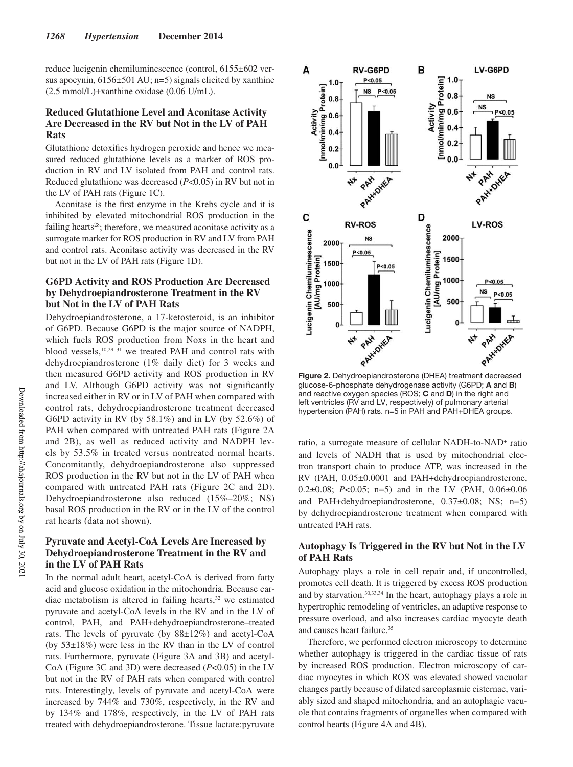reduce lucigenin chemiluminescence (control, 6155±602 versus apocynin,  $6156 \pm 501$  AU; n=5) signals elicited by xanthine (2.5 mmol/L)+xanthine oxidase (0.06 U/mL).

# **Reduced Glutathione Level and Aconitase Activity Are Decreased in the RV but Not in the LV of PAH Rats**

Glutathione detoxifies hydrogen peroxide and hence we measured reduced glutathione levels as a marker of ROS production in RV and LV isolated from PAH and control rats. Reduced glutathione was decreased (*P*<0.05) in RV but not in the LV of PAH rats (Figure 1C).

Aconitase is the first enzyme in the Krebs cycle and it is inhibited by elevated mitochondrial ROS production in the failing hearts<sup>28</sup>; therefore, we measured aconitase activity as a surrogate marker for ROS production in RV and LV from PAH and control rats. Aconitase activity was decreased in the RV but not in the LV of PAH rats (Figure 1D).

# **G6PD Activity and ROS Production Are Decreased by Dehydroepiandrosterone Treatment in the RV but Not in the LV of PAH Rats**

Dehydroepiandrosterone, a 17-ketosteroid, is an inhibitor of G6PD. Because G6PD is the major source of NADPH, which fuels ROS production from Noxs in the heart and blood vessels,<sup>10,29-31</sup> we treated PAH and control rats with dehydroepiandrosterone (1% daily diet) for 3 weeks and then measured G6PD activity and ROS production in RV and LV. Although G6PD activity was not significantly increased either in RV or in LV of PAH when compared with control rats, dehydroepiandrosterone treatment decreased G6PD activity in RV (by 58.1%) and in LV (by 52.6%) of PAH when compared with untreated PAH rats (Figure 2A and 2B), as well as reduced activity and NADPH levels by 53.5% in treated versus nontreated normal hearts. Concomitantly, dehydroepiandrosterone also suppressed ROS production in the RV but not in the LV of PAH when compared with untreated PAH rats (Figure 2C and 2D). Dehydroepiandrosterone also reduced (15%–20%; NS) basal ROS production in the RV or in the LV of the control rat hearts (data not shown).

# **Pyruvate and Acetyl-CoA Levels Are Increased by Dehydroepiandrosterone Treatment in the RV and in the LV of PAH Rats**

In the normal adult heart, acetyl-CoA is derived from fatty acid and glucose oxidation in the mitochondria. Because cardiac metabolism is altered in failing hearts, $32$  we estimated pyruvate and acetyl-CoA levels in the RV and in the LV of control, PAH, and PAH+dehydroepiandrosterone–treated rats. The levels of pyruvate (by 88±12%) and acetyl-CoA (by 53±18%) were less in the RV than in the LV of control rats. Furthermore, pyruvate (Figure 3A and 3B) and acetyl-CoA (Figure 3C and 3D) were decreased (*P*<0.05) in the LV but not in the RV of PAH rats when compared with control rats. Interestingly, levels of pyruvate and acetyl-CoA were increased by 744% and 730%, respectively, in the RV and by 134% and 178%, respectively, in the LV of PAH rats treated with dehydroepiandrosterone. Tissue lactate:pyruvate



**Figure 2.** Dehydroepiandrosterone (DHEA) treatment decreased glucose-6-phosphate dehydrogenase activity (G6PD; **A** and **B**) and reactive oxygen species (ROS; **C** and **D**) in the right and left ventricles (RV and LV, respectively) of pulmonary arterial hypertension (PAH) rats. n=5 in PAH and PAH+DHEA groups.

ratio, a surrogate measure of cellular NADH-to-NAD<sup>+</sup> ratio and levels of NADH that is used by mitochondrial electron transport chain to produce ATP, was increased in the RV (PAH, 0.05±0.0001 and PAH+dehydroepiandrosterone, 0.2±0.08; *P*<0.05; n=5) and in the LV (PAH, 0.06±0.06 and PAH+dehydroepiandrosterone, 0.37±0.08; NS; n=5) by dehydroepiandrosterone treatment when compared with untreated PAH rats.

# **Autophagy Is Triggered in the RV but Not in the LV of PAH Rats**

Autophagy plays a role in cell repair and, if uncontrolled, promotes cell death. It is triggered by excess ROS production and by starvation.30,33,34 In the heart, autophagy plays a role in hypertrophic remodeling of ventricles, an adaptive response to pressure overload, and also increases cardiac myocyte death and causes heart failure.<sup>35</sup>

Therefore, we performed electron microscopy to determine whether autophagy is triggered in the cardiac tissue of rats by increased ROS production. Electron microscopy of cardiac myocytes in which ROS was elevated showed vacuolar changes partly because of dilated sarcoplasmic cisternae, variably sized and shaped mitochondria, and an autophagic vacuole that contains fragments of organelles when compared with control hearts (Figure 4A and 4B).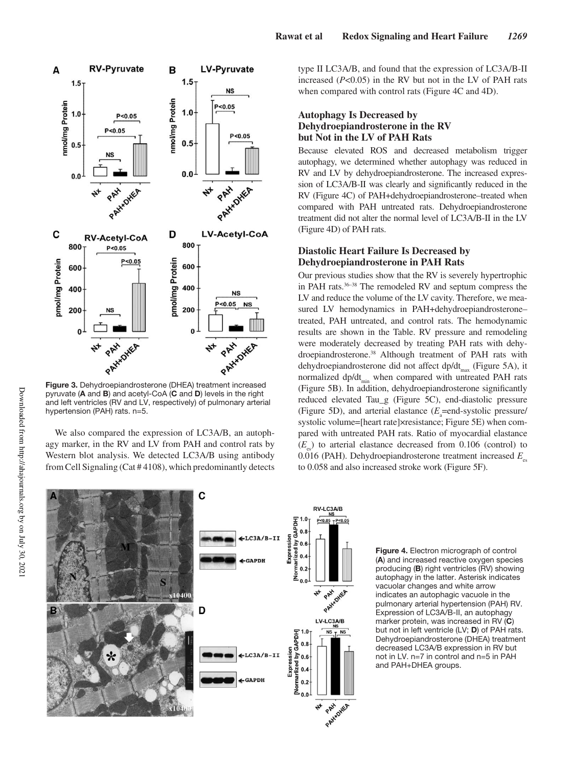

pyruvate (**A** and **B**) and acetyl-CoA (**C** and **D**) levels in the right and left ventricles (RV and LV, respectively) of pulmonary arterial hypertension (PAH) rats. n=5.

We also compared the expression of LC3A/B, an autophagy marker, in the RV and LV from PAH and control rats by Western blot analysis. We detected LC3A/B using antibody from Cell Signaling (Cat # 4108), which predominantly detects type II LC3A/B, and found that the expression of LC3A/B-II increased (*P*<0.05) in the RV but not in the LV of PAH rats when compared with control rats (Figure 4C and 4D).

# **Autophagy Is Decreased by Dehydroepiandrosterone in the RV but Not in the LV of PAH Rats**

Because elevated ROS and decreased metabolism trigger autophagy, we determined whether autophagy was reduced in RV and LV by dehydroepiandrosterone. The increased expression of LC3A/B-II was clearly and significantly reduced in the RV (Figure 4C) of PAH+dehydroepiandrosterone–treated when compared with PAH untreated rats. Dehydroepiandrosterone treatment did not alter the normal level of LC3A/B-II in the LV (Figure 4D) of PAH rats.

# **Diastolic Heart Failure Is Decreased by Dehydroepiandrosterone in PAH Rats**

Our previous studies show that the RV is severely hypertrophic in PAH rats.36–38 The remodeled RV and septum compress the LV and reduce the volume of the LV cavity. Therefore, we measured LV hemodynamics in PAH+dehydroepiandrosterone– treated, PAH untreated, and control rats. The hemodynamic results are shown in the Table. RV pressure and remodeling were moderately decreased by treating PAH rats with dehydroepiandrosterone.<sup>38</sup> Although treatment of PAH rats with dehydroepiandrosterone did not affect dp/dt<sub>max</sub> (Figure 5A), it normalized dp/dt<sub>min</sub> when compared with untreated PAH rats (Figure 5B). In addition, dehydroepiandrosterone significantly reduced elevated Tau\_g (Figure 5C), end-diastolic pressure (Figure 5D), and arterial elastance  $(E_a = \text{end-system}$ -systolic pressure/ systolic volume=[heart rate]×resistance; Figure 5E) when compared with untreated PAH rats. Ratio of myocardial elastance  $(E_{\text{es}})$  to arterial elastance decreased from 0.106 (control) to 0.016 (PAH). Dehydroepiandrosterone treatment increased  $E_{\text{eq}}$ to 0.058 and also increased stroke work (Figure 5F).



**Figure 4.** Electron micrograph of control (**A**) and increased reactive oxygen species producing (**B**) right ventricles (RV) showing autophagy in the latter. Asterisk indicates vacuolar changes and white arrow indicates an autophagic vacuole in the pulmonary arterial hypertension (PAH) RV. Expression of LC3A/B-II, an autophagy marker protein, was increased in RV (**C**) but not in left ventricle (LV; **D**) of PAH rats. Dehydroepiandrosterone (DHEA) treatment decreased LC3A/B expression in RV but not in LV. n=7 in control and n=5 in PAH and PAH+DHEA groups.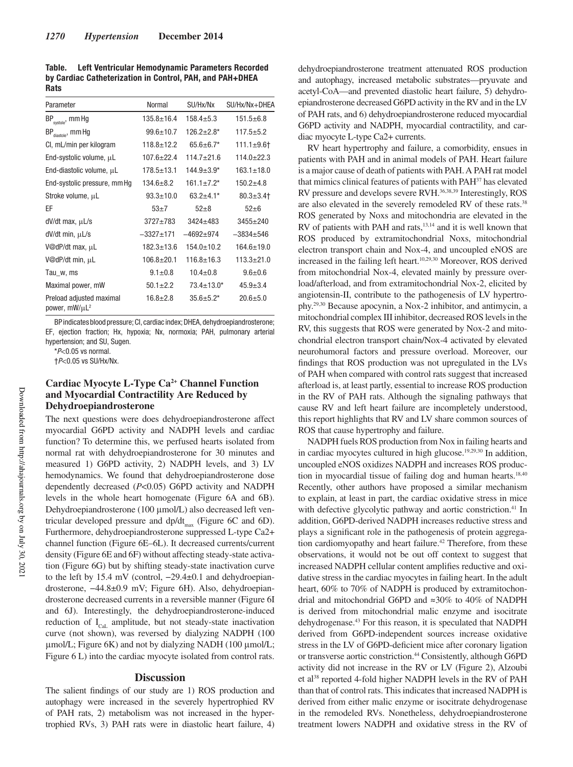Table. Left Ventricular Hemodynamic Parameters Recorded by Cardiac Catheterization in Control, PAH, and PAH+DHEA **Rats** 

| Parameter                                             | Normal           | SU/Hx/Nx          | SU/Hx/Nx+DHEA    |
|-------------------------------------------------------|------------------|-------------------|------------------|
| BP <sub>systole</sub> , mm Hg                         | $135.8 \pm 16.4$ | $158.4 \pm 5.3$   | $151.5 + 6.8$    |
| $BP_{distance}$ , mm Hg                               | $99.6 \pm 10.7$  | $126.2 \pm 2.8$ * | $117.5 + 5.2$    |
| CI, mL/min per kilogram                               | $118.8 \pm 12.2$ | $65.6 \pm 6.7$ *  | $111.1 \pm 9.6$  |
| End-systolic volume, $\mu$ L                          | $107.6 + 22.4$   | $114.7 + 21.6$    | $114.0+22.3$     |
| End-diastolic volume, µL                              | $178.5 \pm 13.1$ | $144.9 \pm 3.9^*$ | $163.1 \pm 18.0$ |
| End-systolic pressure, mm Hg                          | $134.6 \pm 8.2$  | $161.1 \pm 7.2$ * | $150.2 + 4.8$    |
| Stroke volume, µL                                     | $93.3 \pm 10.0$  | $63.2 + 4.1*$     | $80.3 \pm 3.4$   |
| EF                                                    | $53+7$           | $52 + 8$          | $52 + 6$         |
| $dV/dt$ max, $\mu L/s$                                | $3727 + 783$     | $3424 + 483$      | $3455 + 240$     |
| dV/dt min, µL/s                                       | $-3327+171$      | $-4692+974$       | $-3834+546$      |
| V@dP/dt max, µL                                       | $182.3 \pm 13.6$ | $154.0 \pm 10.2$  | $164.6 \pm 19.0$ |
| V@dP/dt min, µL                                       | $106.8 + 20.1$   | $116.8 \pm 16.3$  | $113.3 + 21.0$   |
| Tau_w, ms                                             | $9.1 \pm 0.8$    | $10.4 \pm 0.8$    | $9.6 + 0.6$      |
| Maximal power, mW                                     | $50.1 \pm 2.2$   | $73.4 \pm 13.0*$  | $45.9 \pm 3.4$   |
| Preload adjusted maximal<br>power, mW/µL <sup>2</sup> | $16.8 \pm 2.8$   | $35.6 \pm 5.2^*$  | $20.6 + 5.0$     |

BP indicates blood pressure; CI, cardiac index; DHEA, dehydroepiandrosterone; EF, ejection fraction; Hx, hypoxia; Nx, normoxia; PAH, pulmonary arterial hypertension; and SU, Sugen.

 $*P<0.05$  vs normal.

†P<0.05 vs SU/Hx/Nx.

# **Cardiac Myocyte L-Type Ca2+ Channel Function and Myocardial Contractility Are Reduced by Dehydroepiandrosterone**

The next questions were does dehydroepiandrosterone affect myocardial G6PD activity and NADPH levels and cardiac function? To determine this, we perfused hearts isolated from normal rat with dehydroepiandrosterone for 30 minutes and measured 1) G6PD activity, 2) NADPH levels, and 3) LV hemodynamics. We found that dehydroepiandrosterone dose dependently decreased (*P*<0.05) G6PD activity and NADPH levels in the whole heart homogenate (Figure 6A and 6B). Dehydroepiandrosterone (100 μmol/L) also decreased left ventricular developed pressure and  $dp/dt_{max}$  (Figure 6C and 6D). Furthermore, dehydroepiandrosterone suppressed L-type Ca2+ channel function (Figure 6E–6L). It decreased currents/current density (Figure 6E and 6F) without affecting steady-state activation (Figure 6G) but by shifting steady-state inactivation curve to the left by 15.4 mV (control, −29.4±0.1 and dehydroepiandrosterone, −44.8±0.9 mV; Figure 6H). Also, dehydroepiandrosterone decreased currents in a reversible manner (Figure 6I and 6J). Interestingly, the dehydroepiandrosterone-induced reduction of  $I_{\text{C}al}$  amplitude, but not steady-state inactivation curve (not shown), was reversed by dialyzing NADPH (100 μmol/L; Figure 6K) and not by dialyzing NADH (100 μmol/L; Figure 6 L) into the cardiac myocyte isolated from control rats.

# **Discussion**

The salient findings of our study are 1) ROS production and autophagy were increased in the severely hypertrophied RV of PAH rats, 2) metabolism was not increased in the hypertrophied RVs, 3) PAH rats were in diastolic heart failure, 4) dehydroepiandrosterone treatment attenuated ROS production and autophagy, increased metabolic substrates—pryuvate and acetyl-CoA—and prevented diastolic heart failure, 5) dehydroepiandrosterone decreased G6PD activity in the RV and in the LV of PAH rats, and 6) dehydroepiandrosterone reduced myocardial G6PD activity and NADPH, myocardial contractility, and cardiac myocyte L-type Ca2+ currents.

RV heart hypertrophy and failure, a comorbidity, ensues in patients with PAH and in animal models of PAH. Heart failure is a major cause of death of patients with PAH. A PAH rat model that mimics clinical features of patients with PAH<sup>37</sup> has elevated RV pressure and develops severe RVH.36,38,39 Interestingly, ROS are also elevated in the severely remodeled RV of these rats.<sup>38</sup> ROS generated by Noxs and mitochondria are elevated in the RV of patients with PAH and rats,<sup>13,14</sup> and it is well known that ROS produced by extramitochondrial Noxs, mitochondrial electron transport chain and Nox-4, and uncoupled eNOS are increased in the failing left heart.<sup>10,29,30</sup> Moreover, ROS derived from mitochondrial Nox-4, elevated mainly by pressure overload/afterload, and from extramitochondrial Nox-2, elicited by angiotensin-II, contribute to the pathogenesis of LV hypertrophy.29,30 Because apocynin, a Nox-2 inhibitor, and antimycin, a mitochondrial complex III inhibitor, decreased ROS levels in the RV, this suggests that ROS were generated by Nox-2 and mitochondrial electron transport chain/Nox-4 activated by elevated neurohumoral factors and pressure overload. Moreover, our findings that ROS production was not upregulated in the LVs of PAH when compared with control rats suggest that increased afterload is, at least partly, essential to increase ROS production in the RV of PAH rats. Although the signaling pathways that cause RV and left heart failure are incompletely understood, this report highlights that RV and LV share common sources of ROS that cause hypertrophy and failure.

NADPH fuels ROS production from Nox in failing hearts and in cardiac myocytes cultured in high glucose.19,29,30 In addition, uncoupled eNOS oxidizes NADPH and increases ROS production in myocardial tissue of failing dog and human hearts.<sup>18,40</sup> Recently, other authors have proposed a similar mechanism to explain, at least in part, the cardiac oxidative stress in mice with defective glycolytic pathway and aortic constriction.<sup>41</sup> In addition, G6PD-derived NADPH increases reductive stress and plays a significant role in the pathogenesis of protein aggregation cardiomyopathy and heart failure.<sup>42</sup> Therefore, from these observations, it would not be out off context to suggest that increased NADPH cellular content amplifies reductive and oxidative stress in the cardiac myocytes in failing heart. In the adult heart, 60% to 70% of NADPH is produced by extramitochondrial and mitochondrial G6PD and ≈30% to 40% of NADPH is derived from mitochondrial malic enzyme and isocitrate dehydrogenase.<sup>43</sup> For this reason, it is speculated that NADPH derived from G6PD-independent sources increase oxidative stress in the LV of G6PD-deficient mice after coronary ligation or transverse aortic constriction.<sup>44</sup> Consistently, although G6PD activity did not increase in the RV or LV (Figure 2), Alzoubi et al<sup>38</sup> reported 4-fold higher NADPH levels in the RV of PAH than that of control rats. This indicates that increased NADPH is derived from either malic enzyme or isocitrate dehydrogenase in the remodeled RVs. Nonetheless, dehydroepiandrosterone treatment lowers NADPH and oxidative stress in the RV of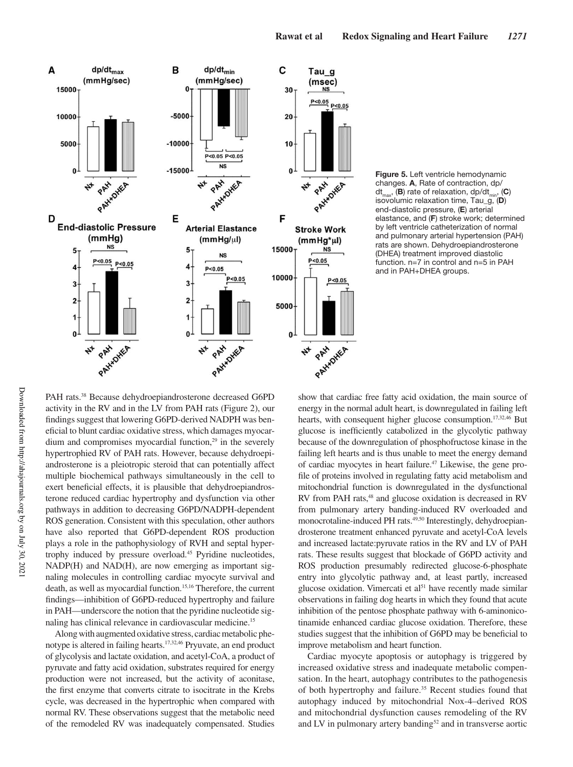



Downloaded from http://ahajournals.org by on July 30, 2021

Downloaded from http://ahajournals.org by on July 30, 202

PAH rats.<sup>38</sup> Because dehydroepiandrosterone decreased G6PD activity in the RV and in the LV from PAH rats (Figure 2), our findings suggest that lowering G6PD-derived NADPH was beneficial to blunt cardiac oxidative stress, which damages myocardium and compromises myocardial function, $29$  in the severely hypertrophied RV of PAH rats. However, because dehydroepiandrosterone is a pleiotropic steroid that can potentially affect multiple biochemical pathways simultaneously in the cell to exert beneficial effects, it is plausible that dehydroepiandrosterone reduced cardiac hypertrophy and dysfunction via other pathways in addition to decreasing G6PD/NADPH-dependent ROS generation. Consistent with this speculation, other authors have also reported that G6PD-dependent ROS production plays a role in the pathophysiology of RVH and septal hypertrophy induced by pressure overload.<sup>45</sup> Pyridine nucleotides, NADP(H) and NAD(H), are now emerging as important signaling molecules in controlling cardiac myocyte survival and death, as well as myocardial function.<sup>15,16</sup> Therefore, the current findings—inhibition of G6PD-reduced hypertrophy and failure in PAH—underscore the notion that the pyridine nucleotide signaling has clinical relevance in cardiovascular medicine.<sup>15</sup>

Along with augmented oxidative stress, cardiac metabolic phenotype is altered in failing hearts.<sup>17,32,46</sup> Pryuvate, an end product of glycolysis and lactate oxidation, and acetyl-CoA, a product of pyruvate and fatty acid oxidation, substrates required for energy production were not increased, but the activity of aconitase, the first enzyme that converts citrate to isocitrate in the Krebs cycle, was decreased in the hypertrophic when compared with normal RV. These observations suggest that the metabolic need of the remodeled RV was inadequately compensated. Studies show that cardiac free fatty acid oxidation, the main source of energy in the normal adult heart, is downregulated in failing left hearts, with consequent higher glucose consumption.<sup>17,32,46</sup> But glucose is inefficiently catabolized in the glycolytic pathway because of the downregulation of phosphofructose kinase in the failing left hearts and is thus unable to meet the energy demand of cardiac myocytes in heart failure.47 Likewise, the gene profile of proteins involved in regulating fatty acid metabolism and mitochondrial function is downregulated in the dysfunctional RV from PAH rats,<sup>48</sup> and glucose oxidation is decreased in RV from pulmonary artery banding-induced RV overloaded and monocrotaline-induced PH rats.<sup>49,50</sup> Interestingly, dehydroepiandrosterone treatment enhanced pyruvate and acetyl-CoA levels and increased lactate:pyruvate ratios in the RV and LV of PAH rats. These results suggest that blockade of G6PD activity and ROS production presumably redirected glucose-6-phosphate entry into glycolytic pathway and, at least partly, increased glucose oxidation. Vimercati et  $al<sup>51</sup>$  have recently made similar observations in failing dog hearts in which they found that acute inhibition of the pentose phosphate pathway with 6-aminonicotinamide enhanced cardiac glucose oxidation. Therefore, these studies suggest that the inhibition of G6PD may be beneficial to improve metabolism and heart function.

Cardiac myocyte apoptosis or autophagy is triggered by increased oxidative stress and inadequate metabolic compensation. In the heart, autophagy contributes to the pathogenesis of both hypertrophy and failure.<sup>35</sup> Recent studies found that autophagy induced by mitochondrial Nox-4–derived ROS and mitochondrial dysfunction causes remodeling of the RV and LV in pulmonary artery banding<sup>52</sup> and in transverse aortic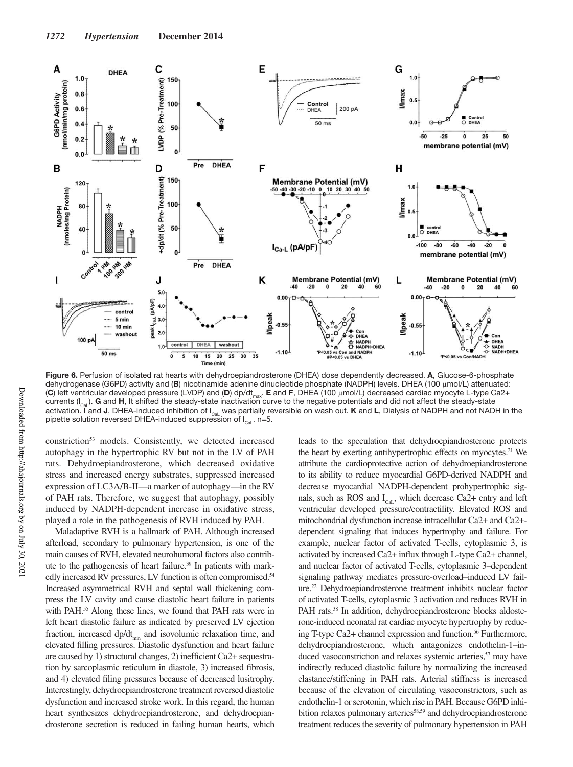

**Figure 6.** Perfusion of isolated rat hearts with dehydroepiandrosterone (DHEA) dose dependently decreased. **A**, Glucose-6-phosphate dehydrogenase (G6PD) activity and (**B**) nicotinamide adenine dinucleotide phosphate (NADPH) levels. DHEA (100 μmol/L) attenuated: (C) left ventricular developed pressure (LVDP) and (**D**) dp/dt<sub>max</sub>. **E** and **F**, DHEA (100 μmol/L) decreased cardiac myocyte L-type Ca2+ currents  $(I_{\text{cal}})$ . **G** and H, It shifted the steady-state inactivation curve to the negative potentials and did not affect the steady-state activation. **I** and **J**, DHEA-induced inhibition of I<sub>Cal</sub> was partially reversible on wash out. **K** and L, Dialysis of NADPH and not NADH in the pipette solution reversed DHEA-induced suppression of  $I_{\text{Cat}}$ . n=5.

constriction<sup>53</sup> models. Consistently, we detected increased autophagy in the hypertrophic RV but not in the LV of PAH rats. Dehydroepiandrosterone, which decreased oxidative stress and increased energy substrates, suppressed increased expression of LC3A/B-II—a marker of autophagy—in the RV of PAH rats. Therefore, we suggest that autophagy, possibly induced by NADPH-dependent increase in oxidative stress, played a role in the pathogenesis of RVH induced by PAH.

Maladaptive RVH is a hallmark of PAH. Although increased afterload, secondary to pulmonary hypertension, is one of the main causes of RVH, elevated neurohumoral factors also contribute to the pathogenesis of heart failure.<sup>39</sup> In patients with markedly increased RV pressures, LV function is often compromised.<sup>54</sup> Increased asymmetrical RVH and septal wall thickening compress the LV cavity and cause diastolic heart failure in patients with PAH.<sup>55</sup> Along these lines, we found that PAH rats were in left heart diastolic failure as indicated by preserved LV ejection fraction, increased  $dp/dt$ <sub>min</sub> and isovolumic relaxation time, and elevated filling pressures. Diastolic dysfunction and heart failure are caused by 1) structural changes, 2) inefficient Ca2+ sequestration by sarcoplasmic reticulum in diastole, 3) increased fibrosis, and 4) elevated filing pressures because of decreased lusitrophy. Interestingly, dehydroepiandrosterone treatment reversed diastolic dysfunction and increased stroke work. In this regard, the human heart synthesizes dehydroepiandrosterone, and dehydroepiandrosterone secretion is reduced in failing human hearts, which leads to the speculation that dehydroepiandrosterone protects the heart by exerting antihypertrophic effects on myocytes.<sup>21</sup> We attribute the cardioprotective action of dehydroepiandrosterone to its ability to reduce myocardial G6PD-derived NADPH and decrease myocardial NADPH-dependent prohypertrophic signals, such as ROS and  $I_{Cal}$ , which decrease Ca2+ entry and left ventricular developed pressure/contractility. Elevated ROS and mitochondrial dysfunction increase intracellular Ca2+ and Ca2+ dependent signaling that induces hypertrophy and failure. For example, nuclear factor of activated T-cells, cytoplasmic 3, is activated by increased Ca2+ influx through L-type Ca2+ channel, and nuclear factor of activated T-cells, cytoplasmic 3–dependent signaling pathway mediates pressure-overload–induced LV failure.<sup>22</sup> Dehydroepiandrosterone treatment inhibits nuclear factor of activated T-cells, cytoplasmic 3 activation and reduces RVH in PAH rats.<sup>38</sup> In addition, dehydroepiandrosterone blocks aldosterone-induced neonatal rat cardiac myocyte hypertrophy by reducing T-type Ca2+ channel expression and function.<sup>56</sup> Furthermore, dehydroepiandrosterone, which antagonizes endothelin-1–induced vasoconstriction and relaxes systemic arteries,<sup>57</sup> may have indirectly reduced diastolic failure by normalizing the increased elastance/stiffening in PAH rats. Arterial stiffness is increased because of the elevation of circulating vasoconstrictors, such as endothelin-1 or serotonin, which rise in PAH. Because G6PD inhibition relaxes pulmonary arteries<sup>58,59</sup> and dehydroepiandrosterone treatment reduces the severity of pulmonary hypertension in PAH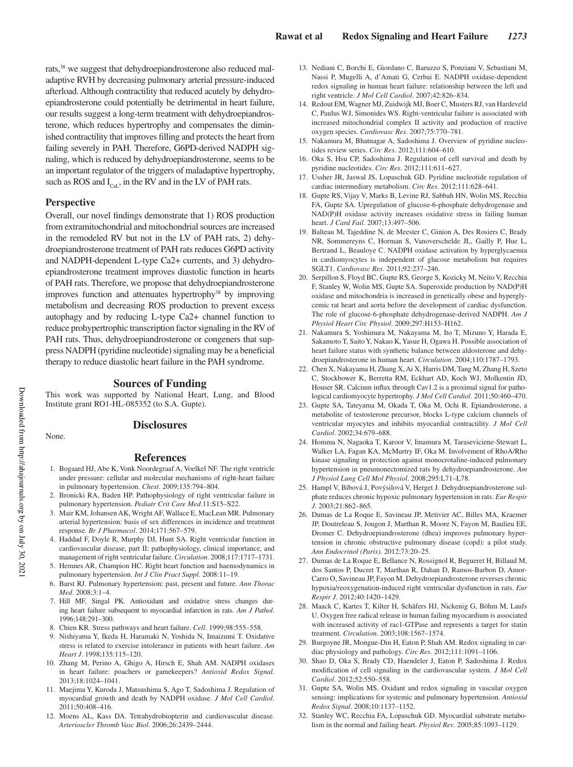rats,<sup>38</sup> we suggest that dehydroepiandrosterone also reduced maladaptive RVH by decreasing pulmonary arterial pressure-induced afterload. Although contractility that reduced acutely by dehydroepiandrosterone could potentially be detrimental in heart failure, our results suggest a long-term treatment with dehydroepiandrosterone, which reduces hypertrophy and compensates the diminished contractility that improves filling and protects the heart from failing severely in PAH. Therefore, G6PD-derived NADPH signaling, which is reduced by dehydroepiandrosterone, seems to be an important regulator of the triggers of maladaptive hypertrophy, such as ROS and  $I_{\text{Cat}}$ , in the RV and in the LV of PAH rats.

#### **Perspective**

Overall, our novel findings demonstrate that 1) ROS production from extramitochondrial and mitochondrial sources are increased in the remodeled RV but not in the LV of PAH rats, 2) dehydroepiandrosterone treatment of PAH rats reduces G6PD activity and NADPH-dependent L-type Ca2+ currents, and 3) dehydroepiandrosterone treatment improves diastolic function in hearts of PAH rats. Therefore, we propose that dehydroepiandrosterone improves function and attenuates hypertrophy<sup>38</sup> by improving metabolism and decreasing ROS production to prevent excess autophagy and by reducing L-type Ca2+ channel function to reduce prohypertrophic transcription factor signaling in the RV of PAH rats. Thus, dehydroepiandrosterone or congeners that suppress NADPH (pyridine nucleotide) signaling may be a beneficial therapy to reduce diastolic heart failure in the PAH syndrome.

#### **Sources of Funding**

This work was supported by National Heart, Lung, and Blood Institute grant RO1-HL-085352 (to S.A. Gupte).

None.

## **Disclosures**

#### **References**

- 1. Bogaard HJ, Abe K, Vonk Noordegraaf A, Voelkel NF. The right ventricle under pressure: cellular and molecular mechanisms of right-heart failure in pulmonary hypertension. *Chest*. 2009;135:794–804.
- 2. Bronicki RA, Baden HP. Pathophysiology of right ventricular failure in pulmonary hypertension. *Pediatr Crit Care Med*.11:S15–S22.
- 3. Mair KM, Johansen AK, Wright AF, Wallace E, MacLean MR. Pulmonary arterial hypertension: basis of sex differences in incidence and treatment response. *Br J Pharmacol*. 2014;171:567–579.
- 4. Haddad F, Doyle R, Murphy DJ, Hunt SA. Right ventricular function in cardiovascular disease, part II: pathophysiology, clinical importance, and management of right ventricular failure. *Circulation*. 2008;117:1717–1731.
- 5. Hemnes AR, Champion HC. Right heart function and haemodynamics in pulmonary hypertension. *Int J Clin Pract Suppl*. 2008:11–19.
- 6. Barst RJ. Pulmonary hypertension: past, present and future. *Ann Thorac Med*. 2008;3:1–4.
- 7. Hill MF, Singal PK. Antioxidant and oxidative stress changes during heart failure subsequent to myocardial infarction in rats. *Am J Pathol*. 1996;148:291–300.
- 8. Chien KR. Stress pathways and heart failure. *Cell*. 1999;98:555–558.
- 9. Nishiyama Y, Ikeda H, Haramaki N, Yoshida N, Imaizumi T. Oxidative stress is related to exercise intolerance in patients with heart failure. *Am Heart J*. 1998;135:115–120.
- 10. Zhang M, Perino A, Ghigo A, Hirsch E, Shah AM. NADPH oxidases in heart failure: poachers or gamekeepers? *Antioxid Redox Signal*. 2013;18:1024–1041.
- 11. Maejima Y, Kuroda J, Matsushima S, Ago T, Sadoshima J. Regulation of myocardial growth and death by NADPH oxidase. *J Mol Cell Cardiol*. 2011;50:408–416.
- 12. Moens AL, Kass DA. Tetrahydrobiopterin and cardiovascular disease. *Arterioscler Thromb Vasc Biol*. 2006;26:2439–2444.
- 13. Nediani C, Borchi E, Giordano C, Baruzzo S, Ponziani V, Sebastiani M, Nassi P, Mugelli A, d'Amati G, Cerbai E. NADPH oxidase-dependent redox signaling in human heart failure: relationship between the left and right ventricle. *J Mol Cell Cardiol*. 2007;42:826–834.
- 14. Redout EM, Wagner MJ, Zuidwijk MJ, Boer C, Musters RJ, van Hardeveld C, Paulus WJ, Simonides WS. Right-ventricular failure is associated with increased mitochondrial complex II activity and production of reactive oxygen species. *Cardiovasc Res*. 2007;75:770–781.
- 15. Nakamura M, Bhatnagar A, Sadoshima J. Overview of pyridine nucleotides review series. *Circ Res*. 2012;111:604–610.
- 16. Oka S, Hsu CP, Sadoshima J. Regulation of cell survival and death by pyridine nucleotides. *Circ Res*. 2012;111:611–627.
- 17. Ussher JR, Jaswal JS, Lopaschuk GD. Pyridine nucleotide regulation of cardiac intermediary metabolism. *Circ Res*. 2012;111:628–641.
- 18. Gupte RS, Vijay V, Marks B, Levine RJ, Sabbah HN, Wolin MS, Recchia FA, Gupte SA. Upregulation of glucose-6-phosphate dehydrogenase and NAD(P)H oxidase activity increases oxidative stress in failing human heart. *J Card Fail*. 2007;13:497–506.
- 19. Balteau M, Tajeddine N, de Meester C, Ginion A, Des Rosiers C, Brady NR, Sommereyns C, Horman S, Vanoverschelde JL, Gailly P, Hue L, Bertrand L, Beauloye C. NADPH oxidase activation by hyperglycaemia in cardiomyocytes is independent of glucose metabolism but requires SGLT1. *Cardiovasc Res*. 2011;92:237–246.
- 20. Serpillon S, Floyd BC, Gupte RS, George S, Kozicky M, Neito V, Recchia F, Stanley W, Wolin MS, Gupte SA. Superoxide production by NAD(P)H oxidase and mitochondria is increased in genetically obese and hyperglycemic rat heart and aorta before the development of cardiac dysfunction. The role of glucose-6-phosphate dehydrogenase-derived NADPH. *Am J Physiol Heart Circ Physiol*. 2009;297:H153–H162.
- 21. Nakamura S, Yoshimura M, Nakayama M, Ito T, Mizuno Y, Harada E, Sakamoto T, Saito Y, Nakao K, Yasue H, Ogawa H. Possible association of heart failure status with synthetic balance between aldosterone and dehydroepiandrosterone in human heart. *Circulation*. 2004;110:1787–1793.
- 22. Chen X, Nakayama H, Zhang X, Ai X, Harris DM, Tang M, Zhang H, Szeto C, Stockbower K, Berretta RM, Eckhart AD, Koch WJ, Molkentin JD, Houser SR. Calcium influx through Cav1.2 is a proximal signal for pathological cardiomyocyte hypertrophy. *J Mol Cell Cardiol*. 2011;50:460–470.
- 23. Gupte SA, Tateyama M, Okada T, Oka M, Ochi R. Epiandrosterone, a metabolite of testosterone precursor, blocks L-type calcium channels of ventricular myocytes and inhibits myocardial contractility. *J Mol Cell Cardiol*. 2002;34:679–688.
- 24. Homma N, Nagaoka T, Karoor V, Imamura M, Taraseviciene-Stewart L, Walker LA, Fagan KA, McMurtry IF, Oka M. Involvement of RhoA/Rho kinase signaling in protection against monocrotaline-induced pulmonary hypertension in pneumonectomized rats by dehydroepiandrosterone. *Am J Physiol Lung Cell Mol Physiol*. 2008;295:L71–L78.
- 25. Hampl V, Bíbová J, Povýsilová V, Herget J. Dehydroepiandrosterone sulphate reduces chronic hypoxic pulmonary hypertension in rats. *Eur Respir J*. 2003;21:862–865.
- 26. Dumas de La Roque E, Savineau JP, Metivier AC, Billes MA, Kraemer JP, Doutreleau S, Jougon J, Marthan R, Moore N, Fayon M, Baulieu EE, Dromer C. Dehydroepiandrosterone (dhea) improves pulmonary hypertension in chronic obstructive pulmonary disease (copd): a pilot study. *Ann Endocrinol (Paris)*. 2012;73:20–25.
- 27. Dumas de La Roque E, Bellance N, Rossignol R, Begueret H, Billaud M, dos Santos P, Ducret T, Marthan R, Dahan D, Ramos-Barbon D, Amor-Carro O, Savineau JP, Fayon M. Dehydroepiandrosterone reverses chronic hypoxia/reoxygenation-induced right ventricular dysfunction in rats. *Eur Respir J*. 2012;40:1420–1429.
- 28. Maack C, Kartes T, Kilter H, Schäfers HJ, Nickenig G, Böhm M, Laufs U. Oxygen free radical release in human failing myocardium is associated with increased activity of rac1-GTPase and represents a target for statin treatment. *Circulation*. 2003;108:1567–1574.
- 29. Burgoyne JR, Mongue-Din H, Eaton P, Shah AM. Redox signaling in cardiac physiology and pathology. *Circ Res*. 2012;111:1091–1106.
- 30. Shao D, Oka S, Brady CD, Haendeler J, Eaton P, Sadoshima J. Redox modification of cell signaling in the cardiovascular system. *J Mol Cell Cardiol*. 2012;52:550–558.
- 31. Gupte SA, Wolin MS. Oxidant and redox signaling in vascular oxygen sensing: implications for systemic and pulmonary hypertension. *Antioxid Redox Signal*. 2008;10:1137–1152.
- 32. Stanley WC, Recchia FA, Lopaschuk GD. Myocardial substrate metabolism in the normal and failing heart. *Physiol Rev*. 2005;85:1093–1129.